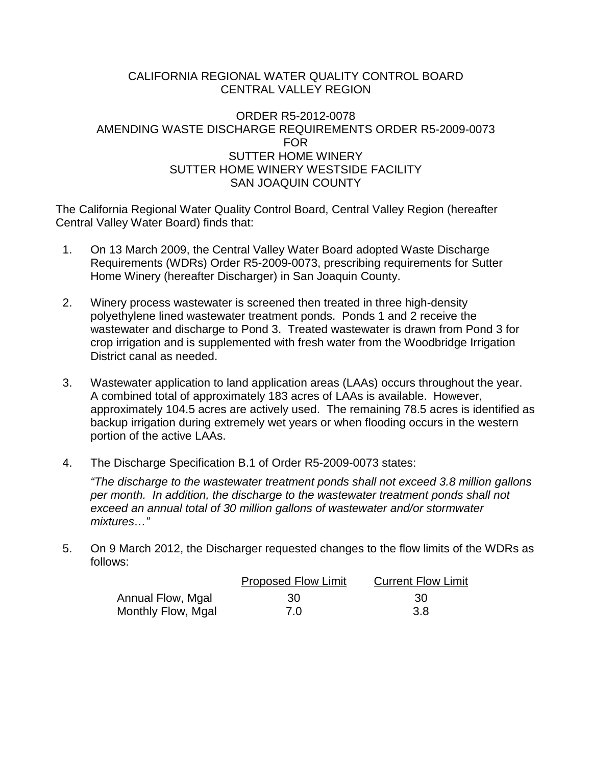## CALIFORNIA REGIONAL WATER QUALITY CONTROL BOARD CENTRAL VALLEY REGION

## ORDER R5-2012-0078 AMENDING WASTE DISCHARGE REQUIREMENTS ORDER R5-2009-0073 FOR SUTTER HOME WINERY SUTTER HOME WINERY WESTSIDE FACILITY SAN JOAQUIN COUNTY

The California Regional Water Quality Control Board, Central Valley Region (hereafter Central Valley Water Board) finds that:

- 1. On 13 March 2009, the Central Valley Water Board adopted Waste Discharge Requirements (WDRs) Order R5-2009-0073, prescribing requirements for Sutter Home Winery (hereafter Discharger) in San Joaquin County.
- 2. Winery process wastewater is screened then treated in three high-density polyethylene lined wastewater treatment ponds. Ponds 1 and 2 receive the wastewater and discharge to Pond 3. Treated wastewater is drawn from Pond 3 for crop irrigation and is supplemented with fresh water from the Woodbridge Irrigation District canal as needed.
- 3. Wastewater application to land application areas (LAAs) occurs throughout the year. A combined total of approximately 183 acres of LAAs is available. However, approximately 104.5 acres are actively used. The remaining 78.5 acres is identified as backup irrigation during extremely wet years or when flooding occurs in the western portion of the active LAAs.
- 4. The Discharge Specification B.1 of Order R5-2009-0073 states:

*"The discharge to the wastewater treatment ponds shall not exceed 3.8 million gallons per month. In addition, the discharge to the wastewater treatment ponds shall not exceed an annual total of 30 million gallons of wastewater and/or stormwater mixtures…"*

5. On 9 March 2012, the Discharger requested changes to the flow limits of the WDRs as follows:

|                    | <b>Proposed Flow Limit</b> | <b>Current Flow Limit</b> |  |  |
|--------------------|----------------------------|---------------------------|--|--|
| Annual Flow, Mgal  | -30                        | -30                       |  |  |
| Monthly Flow, Mgal | 7.0                        | 3.8                       |  |  |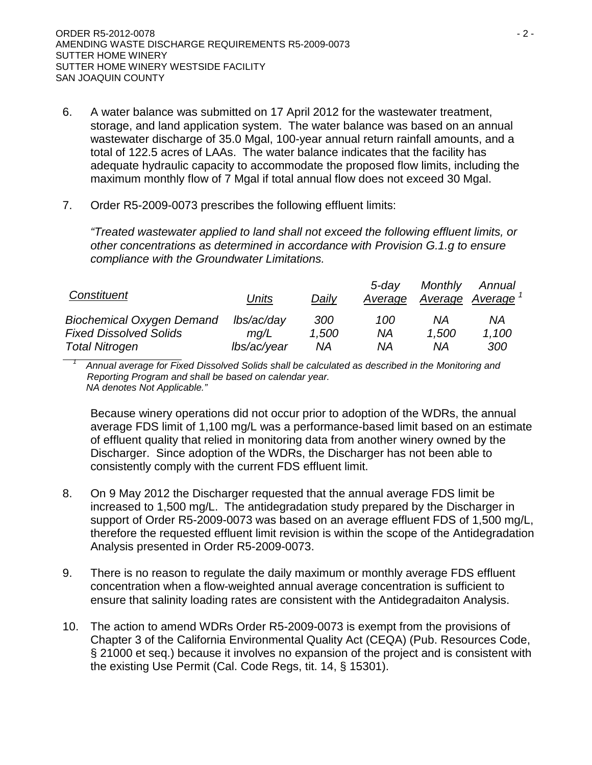- 6. A water balance was submitted on 17 April 2012 for the wastewater treatment, storage, and land application system. The water balance was based on an annual wastewater discharge of 35.0 Mgal, 100-year annual return rainfall amounts, and a total of 122.5 acres of LAAs. The water balance indicates that the facility has adequate hydraulic capacity to accommodate the proposed flow limits, including the maximum monthly flow of 7 Mgal if total annual flow does not exceed 30 Mgal.
- 7. Order R5-2009-0073 prescribes the following effluent limits:

*"Treated wastewater applied to land shall not exceed the following effluent limits, or other concentrations as determined in accordance with Provision G.1.g to ensure compliance with the Groundwater Limitations.*

| Constituent                      | Units       | Daily | $5$ -dav<br>Average | Monthly<br>Average Average | Annual |
|----------------------------------|-------------|-------|---------------------|----------------------------|--------|
| <b>Biochemical Oxygen Demand</b> | lbs/ac/day  | 300   | 100                 | ΝA                         | ΝA     |
| <b>Fixed Dissolved Solids</b>    | ma/L        | 1,500 | ΝA                  | 1.500                      | 1,100  |
| <b>Total Nitrogen</b>            | lbs/ac/year | ΝA    | ΝA                  | ΝA                         | 300    |

*<sup>1</sup> Annual average for Fixed Dissolved Solids shall be calculated as described in the Monitoring and Reporting Program and shall be based on calendar year. NA denotes Not Applicable."*

Because winery operations did not occur prior to adoption of the WDRs, the annual average FDS limit of 1,100 mg/L was a performance-based limit based on an estimate of effluent quality that relied in monitoring data from another winery owned by the Discharger. Since adoption of the WDRs, the Discharger has not been able to consistently comply with the current FDS effluent limit.

- 8. On 9 May 2012 the Discharger requested that the annual average FDS limit be increased to 1,500 mg/L. The antidegradation study prepared by the Discharger in support of Order R5-2009-0073 was based on an average effluent FDS of 1,500 mg/L, therefore the requested effluent limit revision is within the scope of the Antidegradation Analysis presented in Order R5-2009-0073.
- 9. There is no reason to regulate the daily maximum or monthly average FDS effluent concentration when a flow-weighted annual average concentration is sufficient to ensure that salinity loading rates are consistent with the Antidegradaiton Analysis.
- 10. The action to amend WDRs Order R5-2009-0073 is exempt from the provisions of Chapter 3 of the California Environmental Quality Act (CEQA) (Pub. Resources Code, § 21000 et seq.) because it involves no expansion of the project and is consistent with the existing Use Permit (Cal. Code Regs, tit. 14, § 15301).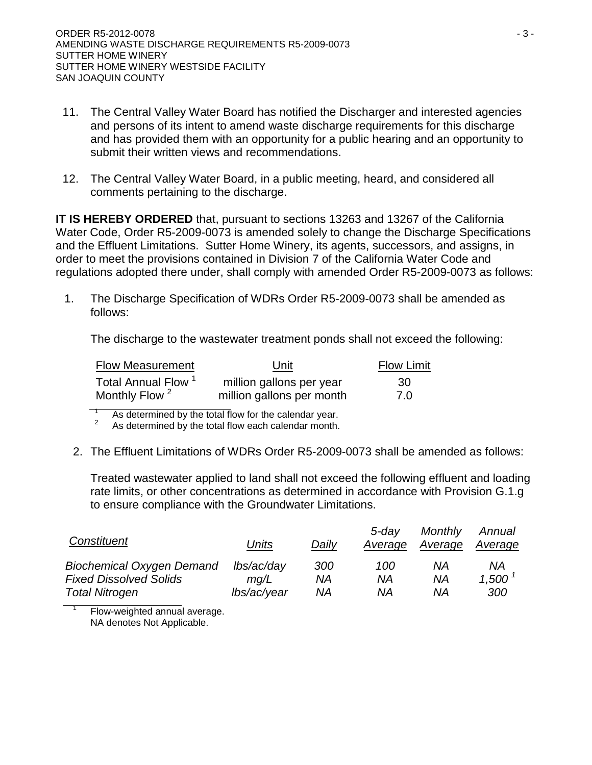- 11. The Central Valley Water Board has notified the Discharger and interested agencies and persons of its intent to amend waste discharge requirements for this discharge and has provided them with an opportunity for a public hearing and an opportunity to submit their written views and recommendations.
- 12. The Central Valley Water Board, in a public meeting, heard, and considered all comments pertaining to the discharge.

**IT IS HEREBY ORDERED** that, pursuant to sections 13263 and 13267 of the California Water Code, Order R5-2009-0073 is amended solely to change the Discharge Specifications and the Effluent Limitations. Sutter Home Winery, its agents, successors, and assigns, in order to meet the provisions contained in Division 7 of the California Water Code and regulations adopted there under, shall comply with amended Order R5-2009-0073 as follows:

1. The Discharge Specification of WDRs Order R5-2009-0073 shall be amended as follows:

The discharge to the wastewater treatment ponds shall not exceed the following:

| <b>Flow Measurement</b>        | Unit                      |     |
|--------------------------------|---------------------------|-----|
| Total Annual Flow <sup>1</sup> | million gallons per year  | -30 |
| Monthly Flow <sup>2</sup>      | million gallons per month | 7.0 |

<sup>1</sup> As determined by the total flow for the calendar year.<br><sup>2</sup> As determined by the total flow each calendar month.

2. The Effluent Limitations of WDRs Order R5-2009-0073 shall be amended as follows:

Treated wastewater applied to land shall not exceed the following effluent and loading rate limits, or other concentrations as determined in accordance with Provision G.1.g to ensure compliance with the Groundwater Limitations.

| Constituent                      | Units       | Daily | 5-dav<br>Average | Monthly<br>Average | Annual<br>Average |
|----------------------------------|-------------|-------|------------------|--------------------|-------------------|
| <b>Biochemical Oxygen Demand</b> | lbs/ac/day  | 300   | 100              | ΝA                 | ΝA                |
| <b>Fixed Dissolved Solids</b>    | ma/L        | ΝA    | ΝA               | ΝA                 | 1.500             |
| <b>Total Nitrogen</b>            | lbs/ac/year | ΝA    | ΝA               | ΝA                 | 300               |

Flow-weighted annual average. NA denotes Not Applicable.